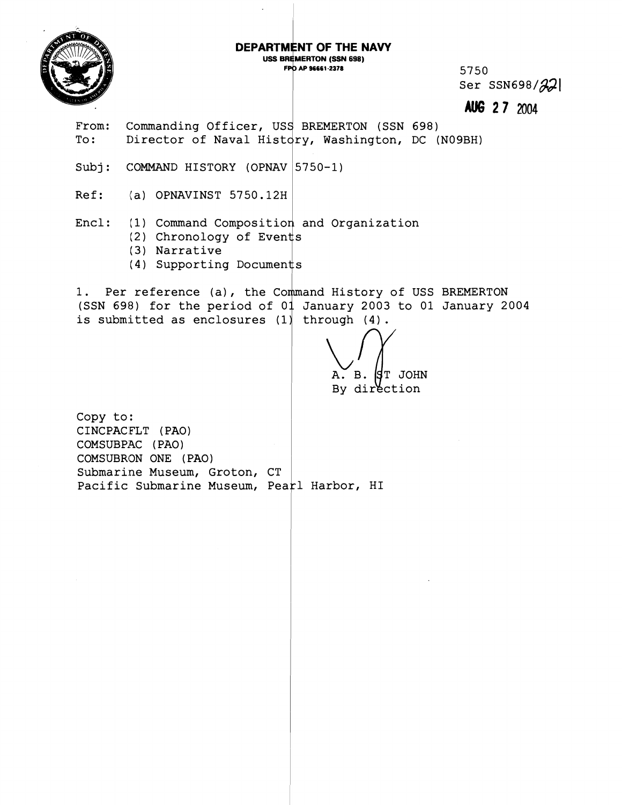

#### DEPARTMENT OF THE NAVY **USS BREMERTON (SSN 698)**

FPO AP 96661-2378

5750 Ser  $SSN698/\mathcal{Z}$ 

**2 7 2004** 

- From: Commanding Officer, USS BREMERTON (SSN 698) To: Director of Naval History, Washington, DC (N09BH)
- Subj: COMMAND HISTORY (OPNAV | 5750-1)
- Ref: (a) OPNAVINST 5750.12H

## Encl: (1) Command Composition and Organization

- (2) Chronology of Events
- (3) Narrative
- (4) Supporting Documen

1. Per reference (a), the Command History of USS BREMERTON (SSN 698) for the period of  $01$  January 2003 to 01 January 2004 is submitted as enclosures  $(1)$  through  $(4)$ .

**S**T JOHN A. B. By direction

Copy to: CINCPACFLT (PAO) COMSUBPAC (PAO) COMSUBRON ONE (PAO) Submarine Museum, Groton, CT Pacific Submarine Museum, Pearl Harbor, HI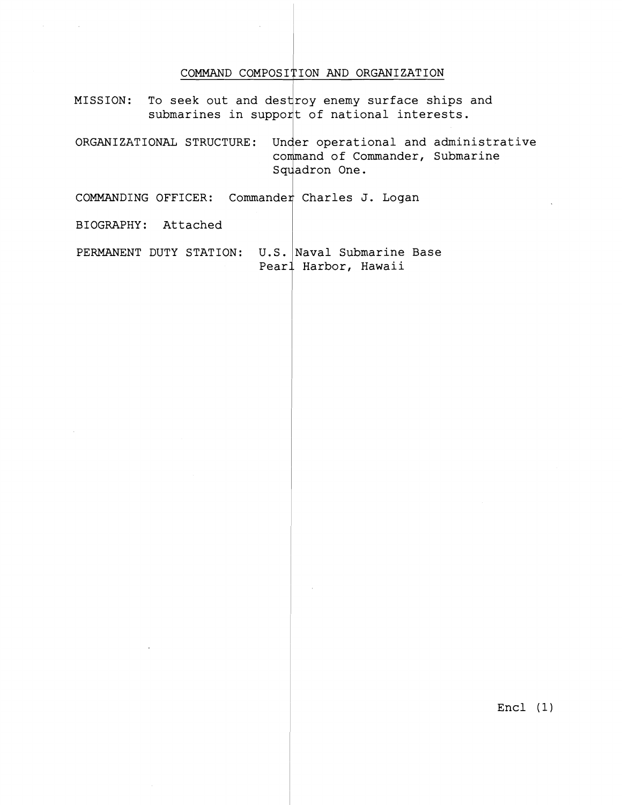#### **COMMAND COMPOSI'7ION AND ORGANIZATION**

MISSION: To seek out and destroy enemy surface ships and submarines in support of national interests.

**ORGANIZATIONAL STRUCTURE: operational and administrative and of Commander, Submarine**  Squadron One.<br> **COMMANDING OFFICER:** Commander Charles J. Logan

**BIOGRAPHY: Attached** <sup>I</sup>

**PERMANENT DUTY STATION: U.S. Naval Submarine Base Pearl Harbor, Hawaii** 

**Encl (1)**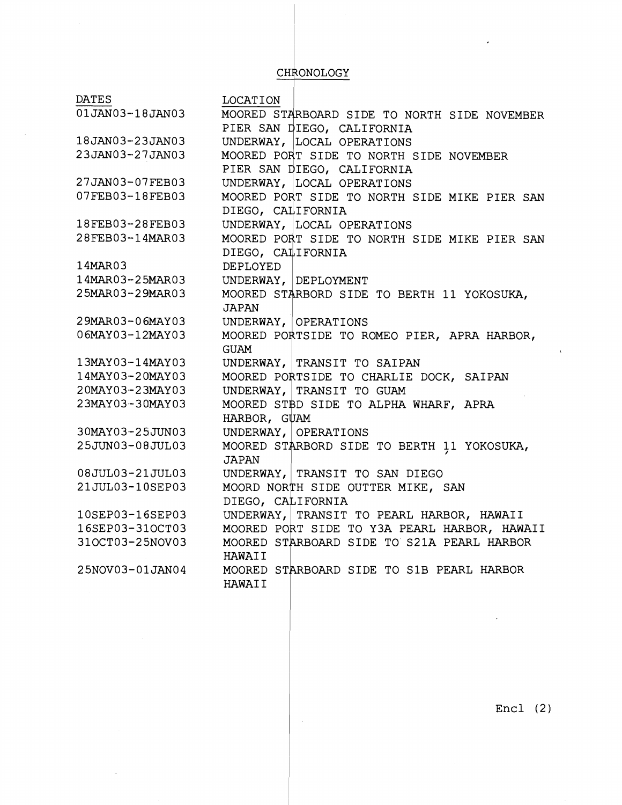### CHRONOLOGY

DATES LOCATION<br>01JAN03-18JAN03 MOORED S' MOORED STARBOARD SIDE TO NORTH SIDE NOVEMBER MOORED STARBOARD SIDE TO NO<br>PIER SAN DIEGO, CALIFORNIA<br>UNDERWAY, LOCAL OPERATIONS<br>MOORED PORT SIDE TO NORTH S PIER SAN DIEGO, CALIFORNIA 18JAN03-23JAN03 23JAN03-27JAN03 MOORED PORT SIDE TO NORTH SIDE NOVEMBER PIER SAN DIEGO, CALIFORNIA 27JAN03-07FEB03 UNDERWAY, LOCAL OPERATIONS 07FEB03-18FEB03 MOORED PORT SIDE TO NORTH SIDE MIKE PIER SAN DIEGO, CALIFORNIA 18FEB03-28FEB03 UNDERWAY, LOCAL OPERATIONS 28FEB03-14MAR03 MOORED PORT SIDE TO NORTH SIDE MIKE PIER SAN DIEGO, CALIFORNIA 14MAR03 DEPLOYED 14MAR03-25MAR03 UNDERWAY, DEPLOYMENT 25MAR03-29MAR03 MOORED STARBORD SIDE TO BERTH 11 YOKOSUKA, **JAPAN** 29MAR03-06MAY03 UNDERWAY, OPERATIONS MOORED PORTSIDE TO ROMEO PIER, APRA HARBOR, 06MAY03-12MAY03 GUAM  $13$ MAY03-14MAY03 UNDERWAY, TRANSIT TO SAIPAN 14MAY03-20MAY03 MOORED PORTSIDE TO CHARLIE DOCK, SAIPAN 20MAY03-23MAY03 UNDERWAY, TRANSIT TO GUAM 23MAY03-30MAY03 MOORED STBD SIDE TO ALPHA WHARF, APRA HARBOR, GUAM 30MAY03-25JUN03 UNDERWAY, OPERATIONS 25JUN03-08JUL03 MOORED STARBORD SIDE TO BERTH 11 YOKOSUKA, JAPAN 08JUL03-21JUL03 UNDERWAY, TRANSIT TO SAN DIEGO 21JUL03-10SEP03 MOORD NORTH SIDE OUTTER MIKE, SAN DIEGO, CALIFORNIA UNDERWAY, TRANSIT TO PEARL HARBOR, HAWAII 10SEP03-16SEP03 16SEP03-31OCT03 MOORED PORT SIDE TO Y3A PEARL HARBOR, HAWAII 310CT03-25NOV03 MOORED STARBOARD SIDE TO S21A PEARL HARBOR HAWAI I MOORED STARBOARD SIDE TO S1B PEARL HARBOR 25NOV03-01JAN04 HAWAI I

Encl (2)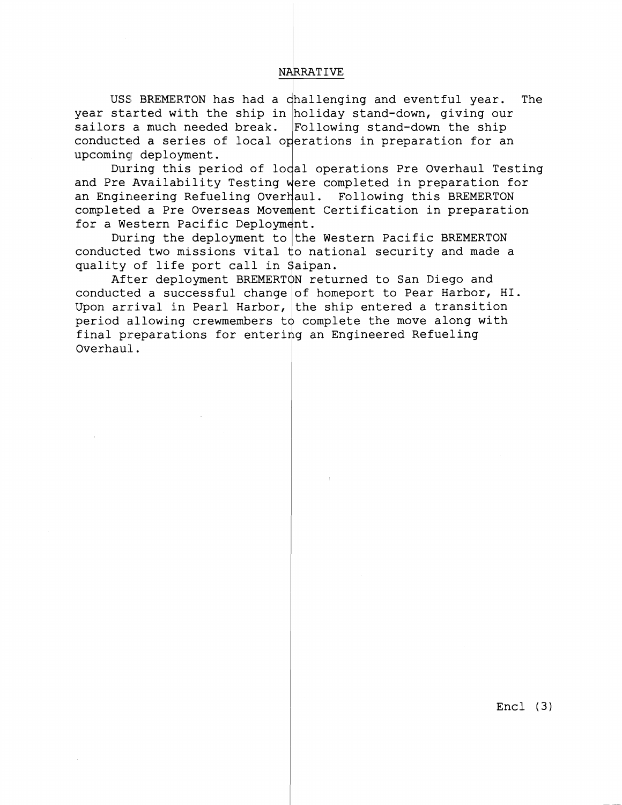NARRATIVE<br>
challenging and<br>
n holiday stand-USS BREMERTON has had a challenging and eventful year. The year started with the ship in holiday stand-down, giving our sailors a much needed break. Following stand-down the ship conducted a series of local operations in preparation for an upcoming deployment.

During this period of lodal operations Pre Overhaul Testing and Pre Availability Testing were completed in preparation for an Engineering Refueling Overhaul. Following this BREMERTON completed a Pre Overseas Movement Certification in preparation for a Western Pacific Deployment.

During the deployment to $|$ the Western Pacific BREMERTON  $\,$ conducted two missions vital  $\sharp$ o national security and made a quality of life port call in Saipan.

After deployment BREMERTON returned to San Diego and conducted a successful change $|\circ f|$  homeport to Pear Harbor, HI. Upon arrival in Pearl Harbor, $|$ the ship entered a transition period allowing crewmembers t $\phi$  complete the move along with final preparations for entering an Engineered Refueling Overhaul.

Encl **(3)**